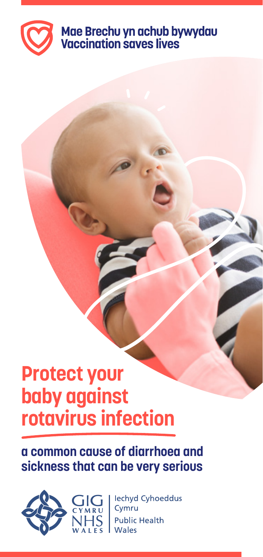

# Mae Brechu yn achub bywydau<br>Vaccination saves lives

## **Protect your baby against rotavirus infection**

#### **a common cause of diarrhoea and sickness that can be very serious**





lechyd Cyhoeddus Cymru **Public Health** Wales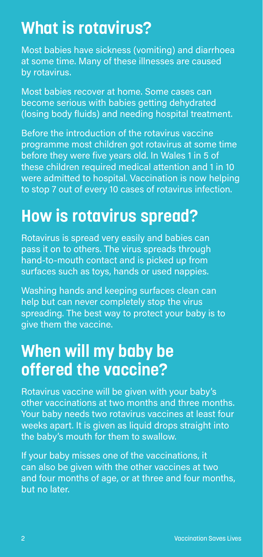## **What is rotavirus?**

Most babies have sickness (vomiting) and diarrhoea at some time. Many of these illnesses are caused by rotavirus.

Most babies recover at home. Some cases can become serious with babies getting dehydrated (losing body fluids) and needing hospital treatment.

Before the introduction of the rotavirus vaccine programme most children got rotavirus at some time before they were five years old. In Wales 1 in 5 of these children required medical attention and 1 in 10 were admitted to hospital. Vaccination is now helping to stop 7 out of every 10 cases of rotavirus infection.

## **How is rotavirus spread?**

Rotavirus is spread very easily and babies can pass it on to others. The virus spreads through hand-to-mouth contact and is picked up from surfaces such as toys, hands or used nappies.

Washing hands and keeping surfaces clean can help but can never completely stop the virus spreading. The best way to protect your baby is to give them the vaccine.

#### **When will my baby be offered the vaccine?**

Rotavirus vaccine will be given with your baby's other vaccinations at two months and three months. Your baby needs two rotavirus vaccines at least four weeks apart. It is given as liquid drops straight into the baby's mouth for them to swallow.

If your baby misses one of the vaccinations, it can also be given with the other vaccines at two and four months of age, or at three and four months, but no later.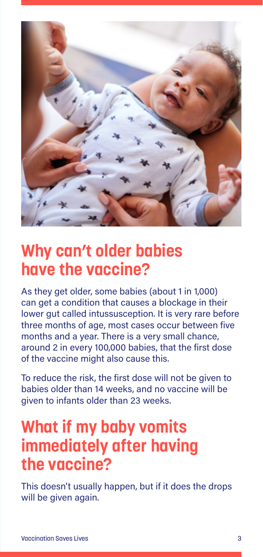

#### **Why can't older babies have the vaccine?**

As they get older, some babies (about 1 in 1,000) can get a condition that causes a blockage in their lower gut called intussusception. It is very rare before three months of age, most cases occur between five months and a year. There is a very small chance, around 2 in every 100,000 babies, that the first dose of the vaccine might also cause this.

To reduce the risk, the first dose will not be given to babies older than 14 weeks, and no vaccine will be given to infants older than 23 weeks.

#### **What if my baby vomits immediately after having the vaccine?**

This doesn't usually happen, but if it does the drops will be given again.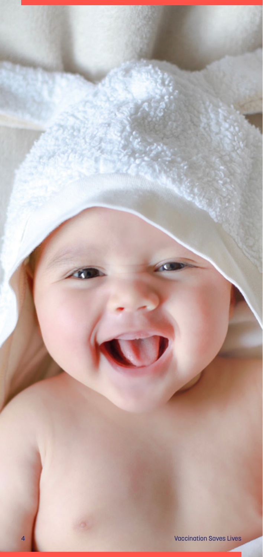

r

T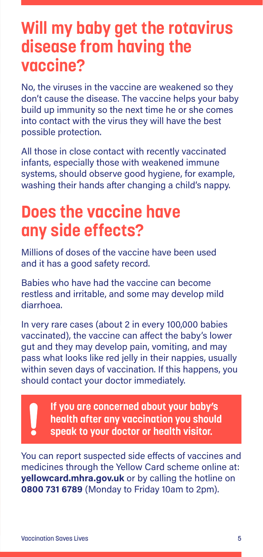#### **Will my baby get the rotavirus disease from having the vaccine?**

No, the viruses in the vaccine are weakened so they don't cause the disease. The vaccine helps your baby build up immunity so the next time he or she comes into contact with the virus they will have the best possible protection.

All those in close contact with recently vaccinated infants, especially those with weakened immune systems, should observe good hygiene, for example, washing their hands after changing a child's nappy.

#### **Does the vaccine have any side effects?**

Millions of doses of the vaccine have been used and it has a good safety record.

Babies who have had the vaccine can become restless and irritable, and some may develop mild diarrhoea.

In very rare cases (about 2 in every 100,000 babies vaccinated), the vaccine can affect the baby's lower gut and they may develop pain, vomiting, and may pass what looks like red jelly in their nappies, usually within seven days of vaccination. If this happens, you should contact your doctor immediately.

> **If you are concerned about your baby's health after any vaccination you should speak to your doctor or health visitor.**

You can report suspected side effects of vaccines and medicines through the Yellow Card scheme online at: **[yellowcard.mhra.gov.uk](https://yellowcard.mhra.gov.uk)** or by calling the hotline on **0800 731 6789** (Monday to Friday 10am to 2pm).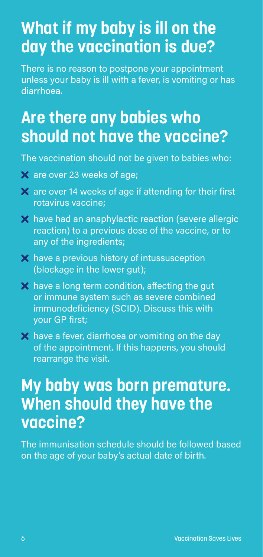### **What if my baby is ill on the day the vaccination is due?**

There is no reason to postpone your appointment unless your baby is ill with a fever, is vomiting or has diarrhoea.

#### **Are there any babies who should not have the vaccine?**

The vaccination should not be given to babies who:

- X are over 23 weeks of age;
- X are over 14 weeks of age if attending for their first rotavirus vaccine;
- X have had an anaphylactic reaction (severe allergic reaction) to a previous dose of the vaccine, or to any of the ingredients;
- $\times$  have a previous history of intussusception (blockage in the lower gut);
- $\times$  have a long term condition, affecting the gut or immune system such as severe combined immunodeficiency (SCID). Discuss this with your GP first;
- X have a fever, diarrhoea or vomiting on the day of the appointment. If this happens, you should rearrange the visit.

#### **My baby was born premature. When should they have the vaccine?**

The immunisation schedule should be followed based on the age of your baby's actual date of birth.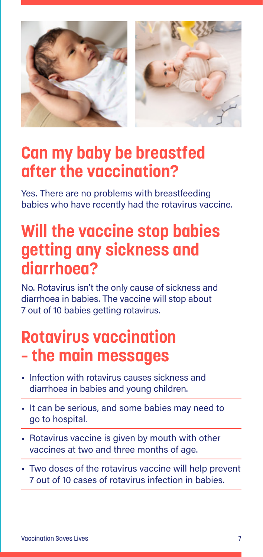



#### **Can my baby be breastfed after the vaccination?**

Yes. There are no problems with breastfeeding babies who have recently had the rotavirus vaccine.

#### **Will the vaccine stop babies getting any sickness and diarrhoea?**

No. Rotavirus isn't the only cause of sickness and diarrhoea in babies. The vaccine will stop about 7 out of 10 babies getting rotavirus.

### **Rotavirus vaccination – the main messages**

- Infection with rotavirus causes sickness and diarrhoea in babies and young children.
- It can be serious, and some babies may need to go to hospital.
- Rotavirus vaccine is given by mouth with other vaccines at two and three months of age.
- Two doses of the rotavirus vaccine will help prevent 7 out of 10 cases of rotavirus infection in babies.